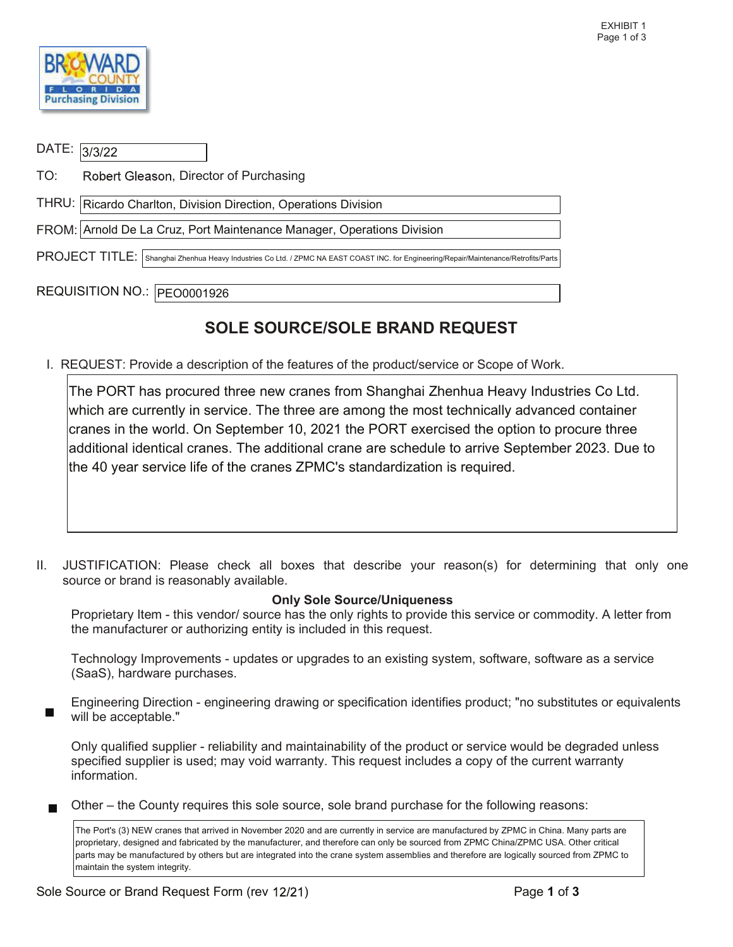

| DATE: 3/3/22                                                                                                                          |                                                                        |  |  |  |  |  |
|---------------------------------------------------------------------------------------------------------------------------------------|------------------------------------------------------------------------|--|--|--|--|--|
| TO:                                                                                                                                   | Robert Gleason, Director of Purchasing                                 |  |  |  |  |  |
|                                                                                                                                       | THRU:   Ricardo Charlton, Division Direction, Operations Division      |  |  |  |  |  |
|                                                                                                                                       | FROM: Arnold De La Cruz, Port Maintenance Manager, Operations Division |  |  |  |  |  |
| PROJECT TITLE: Shanghai Zhenhua Heavy Industries Co Ltd. / ZPMC NA EAST COAST INC. for Engineering/Repair/Maintenance/Retrofits/Parts |                                                                        |  |  |  |  |  |
| REQUISITION NO.: PEO0001926                                                                                                           |                                                                        |  |  |  |  |  |

## SOLE SOURCE/SOLE BRAND REQUEST

I. REQUEST: Provide a description of the features of the product/service or Scope of Work.

 The PORT has procured three new cranes from Shanghai Zhenhua Heavy Industries Co Ltd. which are currently in service. The three are among the most technically advanced container cranes in the world. On September 10, 2021 the PORT exercised the option to procure three additional identical cranes. The additional crane are schedule to arrive September 2023. Due to the 40 year service life of the cranes ZPMC's standardization is required.

 II. JUSTIFICATION: Please check all boxes that describe your reason(s) for determining that only one source or brand is reasonably available.

## Only Sole Source/Uniqueness

 Proprietary Item - this vendor/ source has the only rights to provide this service or commodity. A letter from the manufacturer or authorizing entity is included in this request.

(SaaS), hardware purchases. Technology Improvements - updates or upgrades to an existing system, software, software as a service

Engineering Direction - engineering drawing or specification identifies product; "no substitutes or equivalents will be acceptable."

 specified supplier is used; may void warranty. This request includes a copy of the current warranty Only qualified supplier - reliability and maintainability of the product or service would be degraded unless information.

Other – the County requires this sole source, sole brand purchase for the following reasons:

 parts may be manufactured by others but are integrated into the crane system assemblies and therefore are logically sourced from ZPMC to The Port's (3) NEW cranes that arrived in November 2020 and are currently in service are manufactured by ZPMC in China. Many parts are proprietary, designed and fabricated by the manufacturer, and therefore can only be sourced from ZPMC China/ZPMC USA. Other critical maintain the system integrity.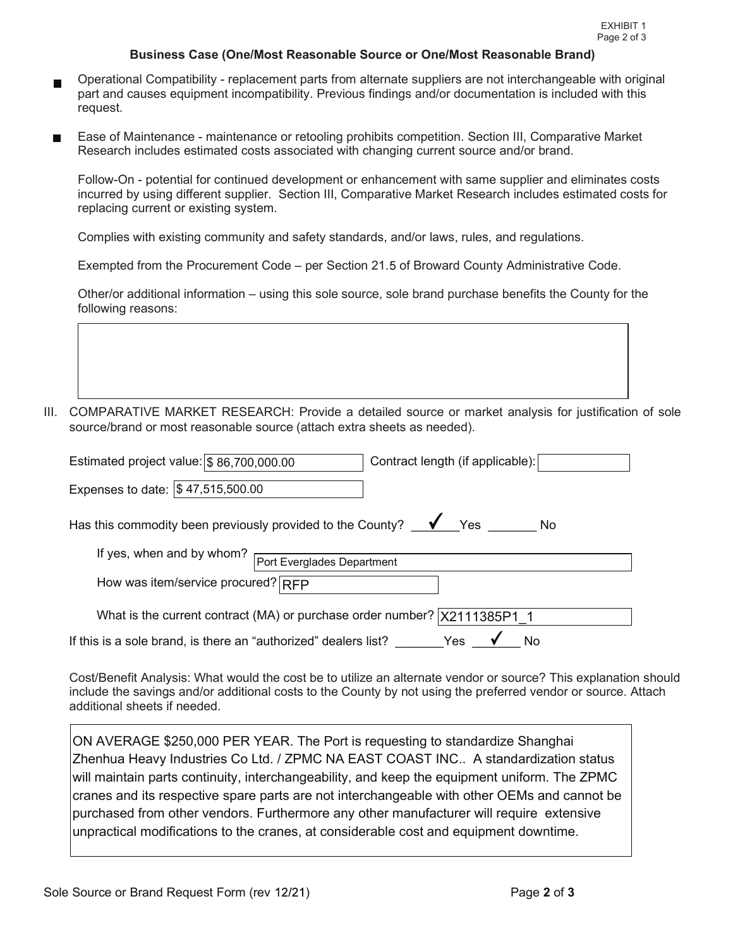## Business Case (One/Most Reasonable Source or One/Most Reasonable Brand)

- Operational Compatibility replacement parts from alternate suppliers are not interchangeable with original part and causes equipment incompatibility. Previous findings and/or documentation is included with this request.
- request.<br>Ease of Maintenance maintenance or retooling prohibits competition. Section III, Comparative Market Research includes estimated costs associated with changing current source and/or brand.

 Follow-On - potential for continued development or enhancement with same supplier and eliminates costs incurred by using different supplier. Section III, Comparative Market Research includes estimated costs for replacing current or existing system.

Complies with existing community and safety standards, and/or laws, rules, and regulations.

Exempted from the Procurement Code – per Section 21.5 of Broward County Administrative Code.

 Other/or additional information – using this sole source, sole brand purchase benefits the County for the following reasons:

III. COMPARATIVE MARKET RESEARCH: Provide a detailed source or market analysis for justification of sole source/brand or most reasonable source (attach extra sheets as needed).

| Estimated project value: $\frac{1}{3}$ 86,700,000.00                                 | Contract length (if applicable): |  |  |  |  |
|--------------------------------------------------------------------------------------|----------------------------------|--|--|--|--|
| Expenses to date: \$47,515,500.00                                                    |                                  |  |  |  |  |
| Has this commodity been previously provided to the County? $\blacklozenge$ Yes<br>No |                                  |  |  |  |  |
| If yes, when and by whom?<br>Port Everglades Department                              |                                  |  |  |  |  |
| How was item/service procured? RFP                                                   |                                  |  |  |  |  |
| What is the current contract (MA) or purchase order number?   X2111385P1 1           |                                  |  |  |  |  |
| If this is a sole brand, is there an "authorized" dealers list?                      | Yes                              |  |  |  |  |

 additional sheets if needed. Cost/Benefit Analysis: What would the cost be to utilize an alternate vendor or source? This explanation should include the savings and/or additional costs to the County by not using the preferred vendor or source. Attach

 ON AVERAGE \$250,000 PER YEAR. The Port is requesting to standardize Shanghai will maintain parts continuity, interchangeability, and keep the equipment uniform. The ZPMC cranes and its respective spare parts are not interchangeable with other OEMs and cannot be Zhenhua Heavy Industries Co Ltd. / ZPMC NA EAST COAST INC.. A standardization status purchased from other vendors. Furthermore any other manufacturer will require extensive unpractical modifications to the cranes, at considerable cost and equipment downtime.